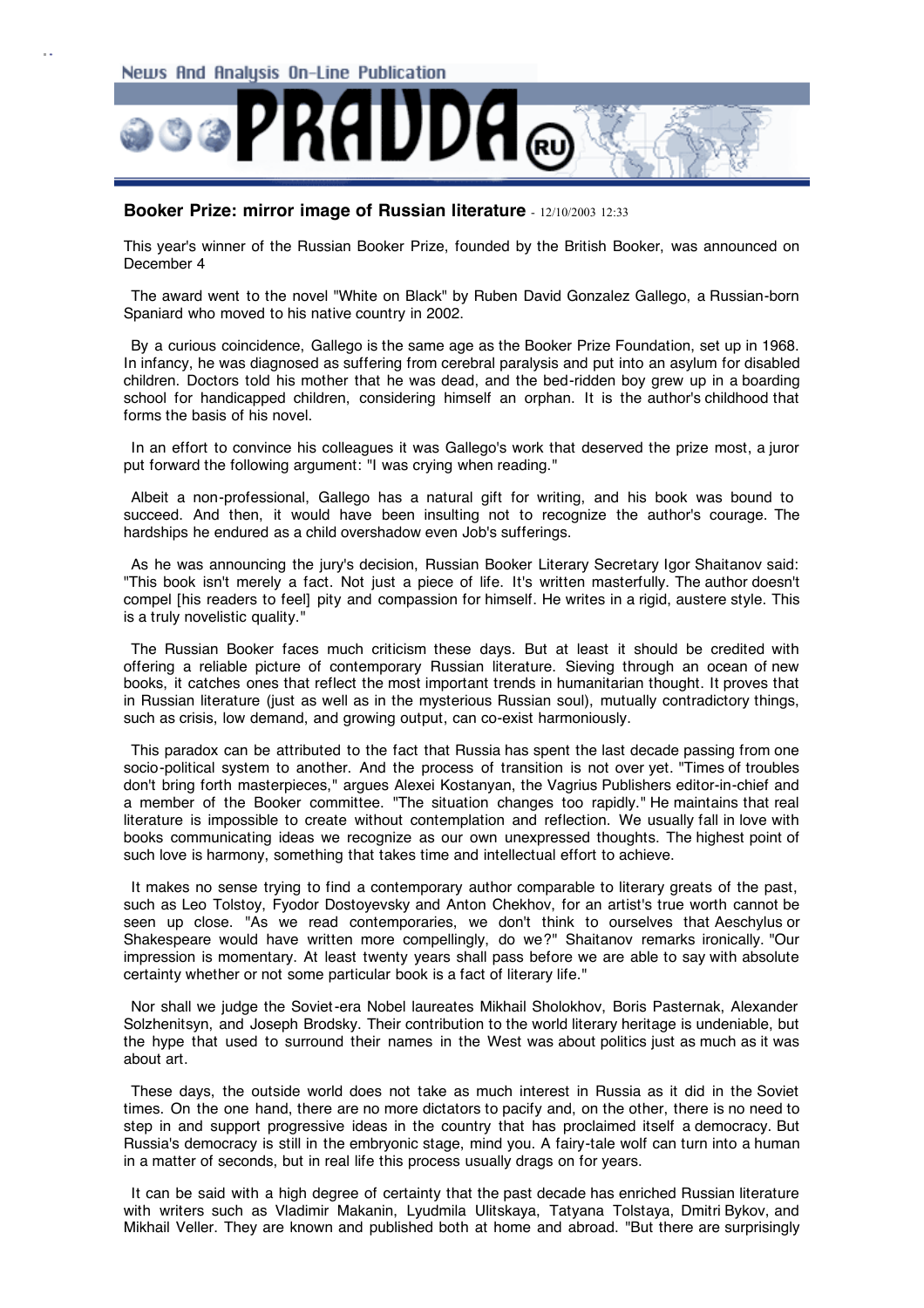

## **Booker Prize: mirror image of Russian literature** - 12/10/2003 12:33

This year's winner of the Russian Booker Prize, founded by the British Booker, was announced on December 4

The award went to the novel "White on Black" by Ruben David Gonzalez Gallego, a Russian-born Spaniard who moved to his native country in 2002.

By a curious coincidence, Gallego is the same age as the Booker Prize Foundation, set up in 1968. In infancy, he was diagnosed as suffering from cerebral paralysis and put into an asylum for disabled children. Doctors told his mother that he was dead, and the bed-ridden boy grew up in a boarding school for handicapped children, considering himself an orphan. It is the author's childhood that forms the basis of his novel.

In an effort to convince his colleagues it was Gallego's work that deserved the prize most, a juror put forward the following argument: "I was crying when reading."

Albeit a non-professional, Gallego has a natural gift for writing, and his book was bound to succeed. And then, it would have been insulting not to recognize the author's courage. The hardships he endured as a child overshadow even Job's sufferings.

As he was announcing the jury's decision, Russian Booker Literary Secretary Igor Shaitanov said: "This book isn't merely a fact. Not just a piece of life. It's written masterfully. The author doesn't compel [his readers to feel] pity and compassion for himself. He writes in a rigid, austere style. This is a truly novelistic quality."

The Russian Booker faces much criticism these days. But at least it should be credited with offering a reliable picture of contemporary Russian literature. Sieving through an ocean of new books, it catches ones that reflect the most important trends in humanitarian thought. It proves that in Russian literature (just as well as in the mysterious Russian soul), mutually contradictory things, such as crisis, low demand, and growing output, can co-exist harmoniously.

This paradox can be attributed to the fact that Russia has spent the last decade passing from one socio-political system to another. And the process of transition is not over yet. "Times of troubles don't bring forth masterpieces," argues Alexei Kostanyan, the Vagrius Publishers editor-in-chief and a member of the Booker committee. "The situation changes too rapidly." He maintains that real literature is impossible to create without contemplation and reflection. We usually fall in love with books communicating ideas we recognize as our own unexpressed thoughts. The highest point of such love is harmony, something that takes time and intellectual effort to achieve.

It makes no sense trying to find a contemporary author comparable to literary greats of the past, such as Leo Tolstoy, Fyodor Dostoyevsky and Anton Chekhov, for an artist's true worth cannot be seen up close. "As we read contemporaries, we don't think to ourselves that Aeschylus or Shakespeare would have written more compellingly, do we?" Shaitanov remarks ironically. "Our impression is momentary. At least twenty years shall pass before we are able to say with absolute certainty whether or not some particular book is a fact of literary life."

Nor shall we judge the Soviet-era Nobel laureates Mikhail Sholokhov, Boris Pasternak, Alexander Solzhenitsyn, and Joseph Brodsky. Their contribution to the world literary heritage is undeniable, but the hype that used to surround their names in the West was about politics just as much as it was about art.

These days, the outside world does not take as much interest in Russia as it did in the Soviet times. On the one hand, there are no more dictators to pacify and, on the other, there is no need to step in and support progressive ideas in the country that has proclaimed itself a democracy. But Russia's democracy is still in the embryonic stage, mind you. A fairy-tale wolf can turn into a human in a matter of seconds, but in real life this process usually drags on for years.

It can be said with a high degree of certainty that the past decade has enriched Russian literature with writers such as Vladimir Makanin, Lyudmila Ulitskaya, Tatyana Tolstaya, Dmitri Bykov, and Mikhail Veller. They are known and published both at home and abroad. "But there are surprisingly